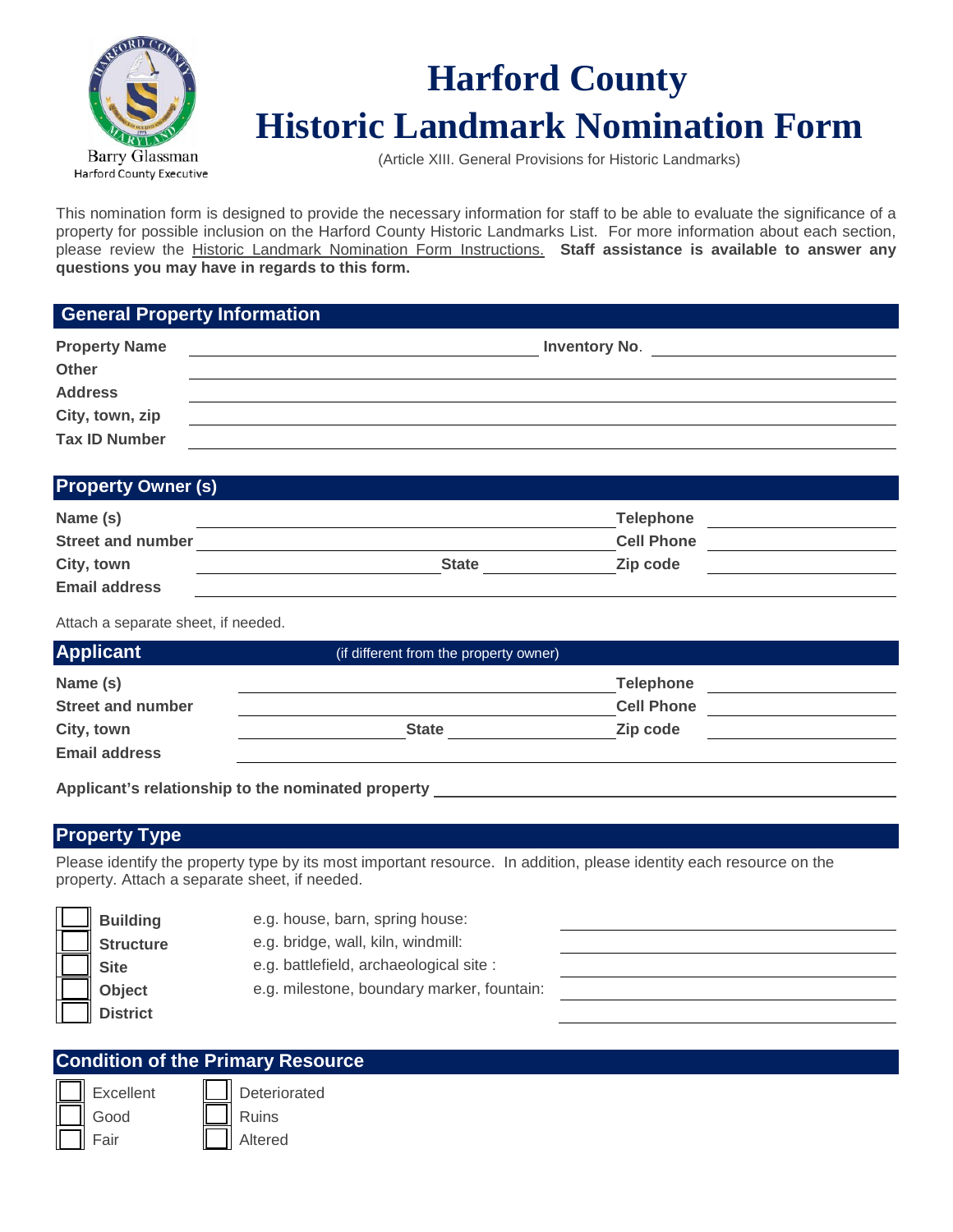

# **Harford County Historic Landmark Nomination Form**

(Article XIII. General Provisions for Historic Landmarks)

This nomination form is designed to provide the necessary information for staff to be able to evaluate the significance of a property for possible inclusion on the Harford County Historic Landmarks List. For more information about each section, please review the Historic Landmark Nomination Form Instructions. **Staff assistance is available to answer any questions you may have in regards to this form.** 

## **General Property Information**

| <b>Property Name</b><br>Other | <b>Inventory No.</b> |
|-------------------------------|----------------------|
| <b>Address</b>                |                      |
| City, town, zip               |                      |
| <b>Tax ID Number</b>          |                      |

## **Property Owner (s)**

| Name (s)                 | <b>Telephone</b>         |  |
|--------------------------|--------------------------|--|
| <b>Street and number</b> | <b>Cell Phone</b>        |  |
| City, town               | Zip code<br><b>State</b> |  |
| <b>Email address</b>     |                          |  |

Attach a separate sheet, if needed.

| <b>Applicant</b>         | (if different from the property owner) |                   |  |
|--------------------------|----------------------------------------|-------------------|--|
| Name (s)                 |                                        | <b>Telephone</b>  |  |
| <b>Street and number</b> |                                        | <b>Cell Phone</b> |  |
| City, town               | <b>State</b>                           | Zip code          |  |
| <b>Email address</b>     |                                        |                   |  |

**Applicant's relationship to the nominated property** 

## **Property Type**

Please identify the property type by its most important resource. In addition, please identity each resource on the property. Attach a separate sheet, if needed.

| <b>Building</b>  | e.g. house, barn, spring house:            |  |
|------------------|--------------------------------------------|--|
| <b>Structure</b> | e.g. bridge, wall, kiln, windmill:         |  |
| <b>Site</b>      | e.g. battlefield, archaeological site :    |  |
| Object           | e.g. milestone, boundary marker, fountain: |  |
| <b>District</b>  |                                            |  |
|                  |                                            |  |

| <b>Condition of the Primary Resource</b> |              |  |  |  |
|------------------------------------------|--------------|--|--|--|
| Excellent                                | Deteriorated |  |  |  |
| Good                                     | Ruins        |  |  |  |
| Fair                                     | Altered      |  |  |  |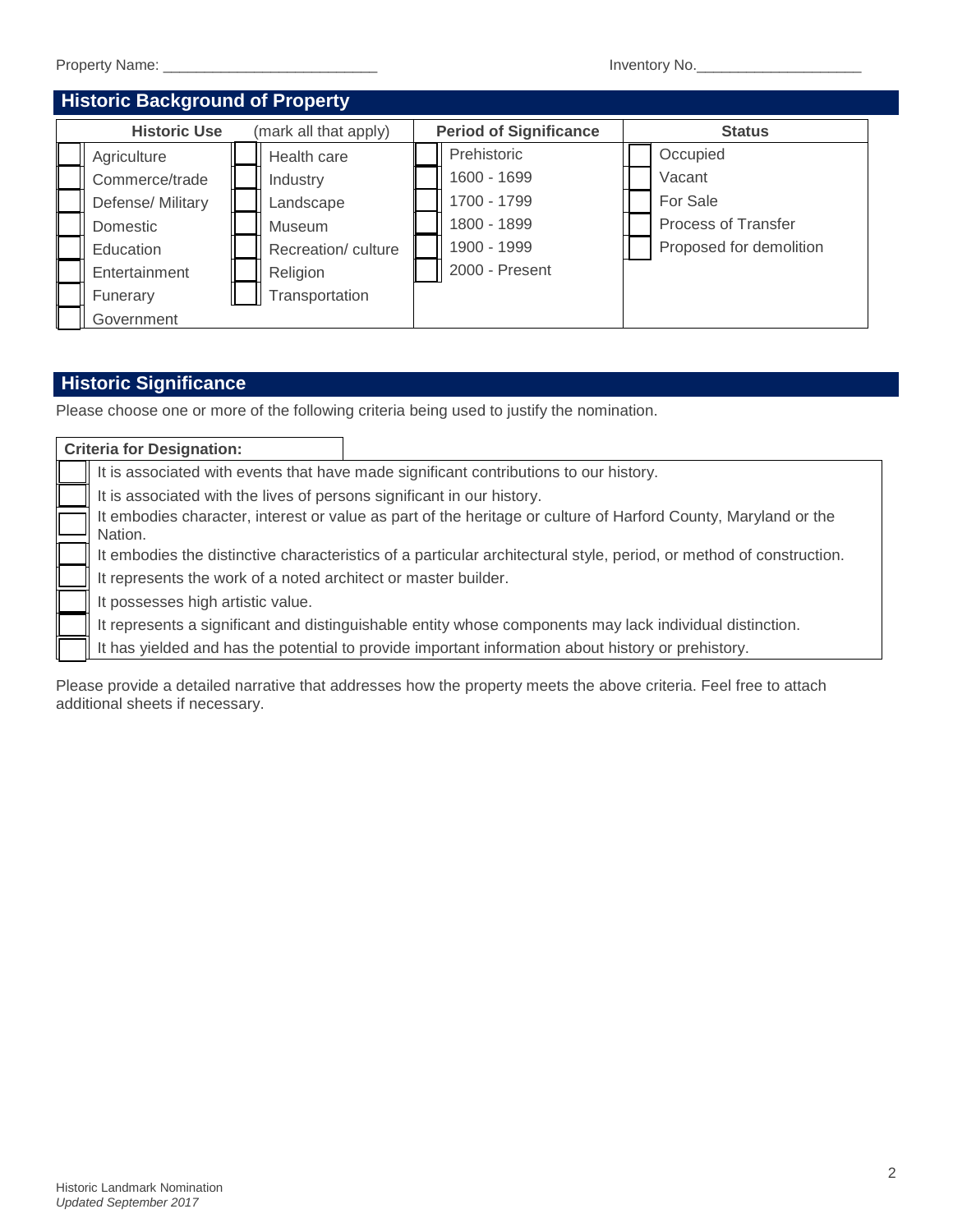| <b>Property Name:</b> | Inventory No. |
|-----------------------|---------------|
|                       |               |

| <b>Historic Background of Property</b>       |                   |                               |                    |               |                |  |                            |  |
|----------------------------------------------|-------------------|-------------------------------|--------------------|---------------|----------------|--|----------------------------|--|
| <b>Historic Use</b><br>(mark all that apply) |                   | <b>Period of Significance</b> |                    | <b>Status</b> |                |  |                            |  |
|                                              | Agriculture       |                               | Health care        |               | Prehistoric    |  | Occupied                   |  |
|                                              | Commerce/trade    |                               | Industry           |               | 1600 - 1699    |  | Vacant                     |  |
|                                              | Defense/ Military |                               | Landscape          |               | 1700 - 1799    |  | For Sale                   |  |
|                                              | Domestic          |                               | Museum             |               | 1800 - 1899    |  | <b>Process of Transfer</b> |  |
|                                              | Education         |                               | Recreation/culture |               | 1900 - 1999    |  | Proposed for demolition    |  |
|                                              | Entertainment     |                               | Religion           |               | 2000 - Present |  |                            |  |
|                                              | Funerary          |                               | Transportation     |               |                |  |                            |  |
|                                              | Government        |                               |                    |               |                |  |                            |  |

## **Historic Significance**

Please choose one or more of the following criteria being used to justify the nomination.

| <b>Criteria for Designation:</b>                                                                                          |                                                                                                          |  |  |
|---------------------------------------------------------------------------------------------------------------------------|----------------------------------------------------------------------------------------------------------|--|--|
| It is associated with events that have made significant contributions to our history.                                     |                                                                                                          |  |  |
| It is associated with the lives of persons significant in our history.                                                    |                                                                                                          |  |  |
| It embodies character, interest or value as part of the heritage or culture of Harford County, Maryland or the<br>Nation. |                                                                                                          |  |  |
| It embodies the distinctive characteristics of a particular architectural style, period, or method of construction.       |                                                                                                          |  |  |
| It represents the work of a noted architect or master builder.                                                            |                                                                                                          |  |  |
| It possesses high artistic value.                                                                                         |                                                                                                          |  |  |
|                                                                                                                           | It represents a significant and distinguishable entity whose components may lack individual distinction. |  |  |
|                                                                                                                           | It has yielded and has the potential to provide important information about history or prehistory.       |  |  |

Please provide a detailed narrative that addresses how the property meets the above criteria. Feel free to attach additional sheets if necessary.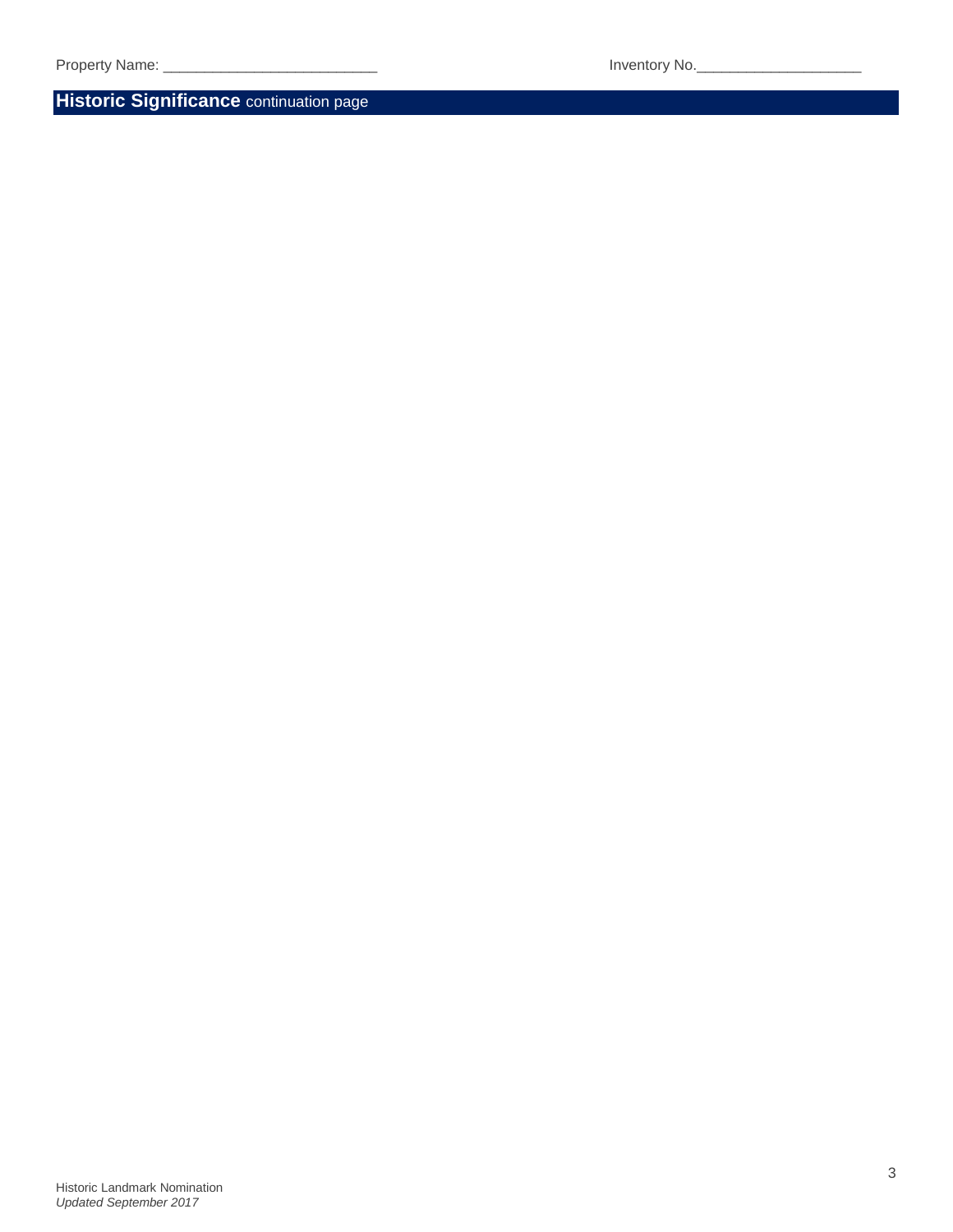**Historic Significance** continuation page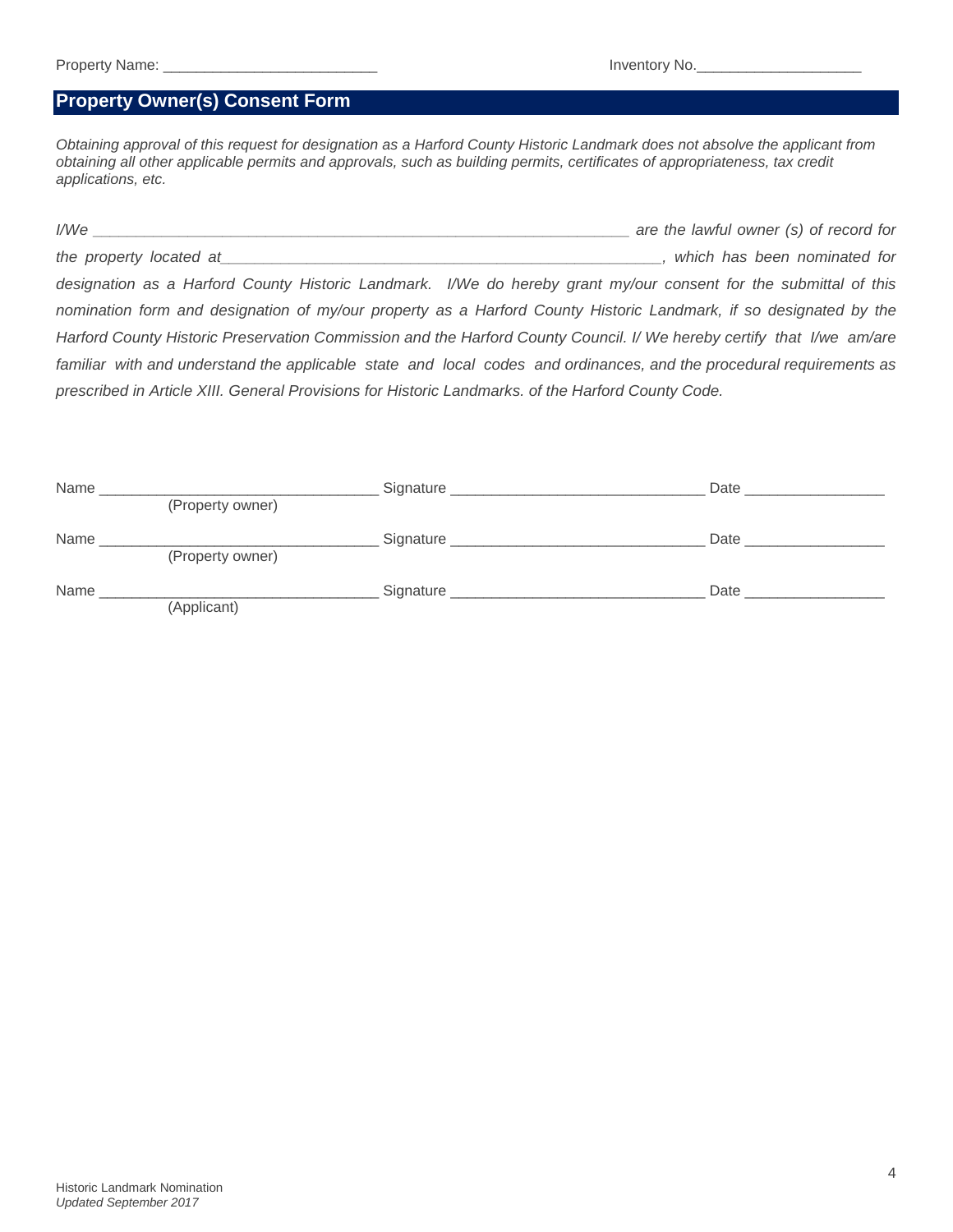### **Property Owner(s) Consent Form**

*Obtaining approval of this request for designation as a Harford County Historic Landmark does not absolve the applicant from obtaining all other applicable permits and approvals, such as building permits, certificates of appropriateness, tax credit applications, etc.*

*I/We \_\_\_\_\_\_\_\_\_\_\_\_\_\_\_\_\_\_\_\_\_\_\_\_\_\_\_\_\_\_\_\_\_\_\_\_\_\_\_\_\_\_\_\_\_\_\_\_\_\_\_\_\_\_\_\_\_\_\_\_\_\_ are the lawful owner (s) of record for the property located at\_\_\_\_\_\_\_\_\_\_\_\_\_\_\_\_\_\_\_\_\_\_\_\_\_\_\_\_\_\_\_\_\_\_\_\_\_\_\_\_\_\_\_\_\_\_\_\_\_\_\_, which has been nominated for designation as a Harford County Historic Landmark. I/We do hereby grant my/our consent for the submittal of this nomination form and designation of my/our property as a Harford County Historic Landmark, if so designated by the Harford County Historic Preservation Commission and the Harford County Council. I/ We hereby certify that I/we am/are familiar with and understand the applicable state and local codes and ordinances, and the procedural requirements as prescribed in Article XIII. General Provisions for Historic Landmarks. of the Harford County Code.*

| Name |                  | Signature | Date |
|------|------------------|-----------|------|
|      | (Property owner) |           |      |
| Name |                  | Signature | Date |
|      | (Property owner) |           |      |
| Name |                  | Signature | Date |
|      | (Applicant)      |           |      |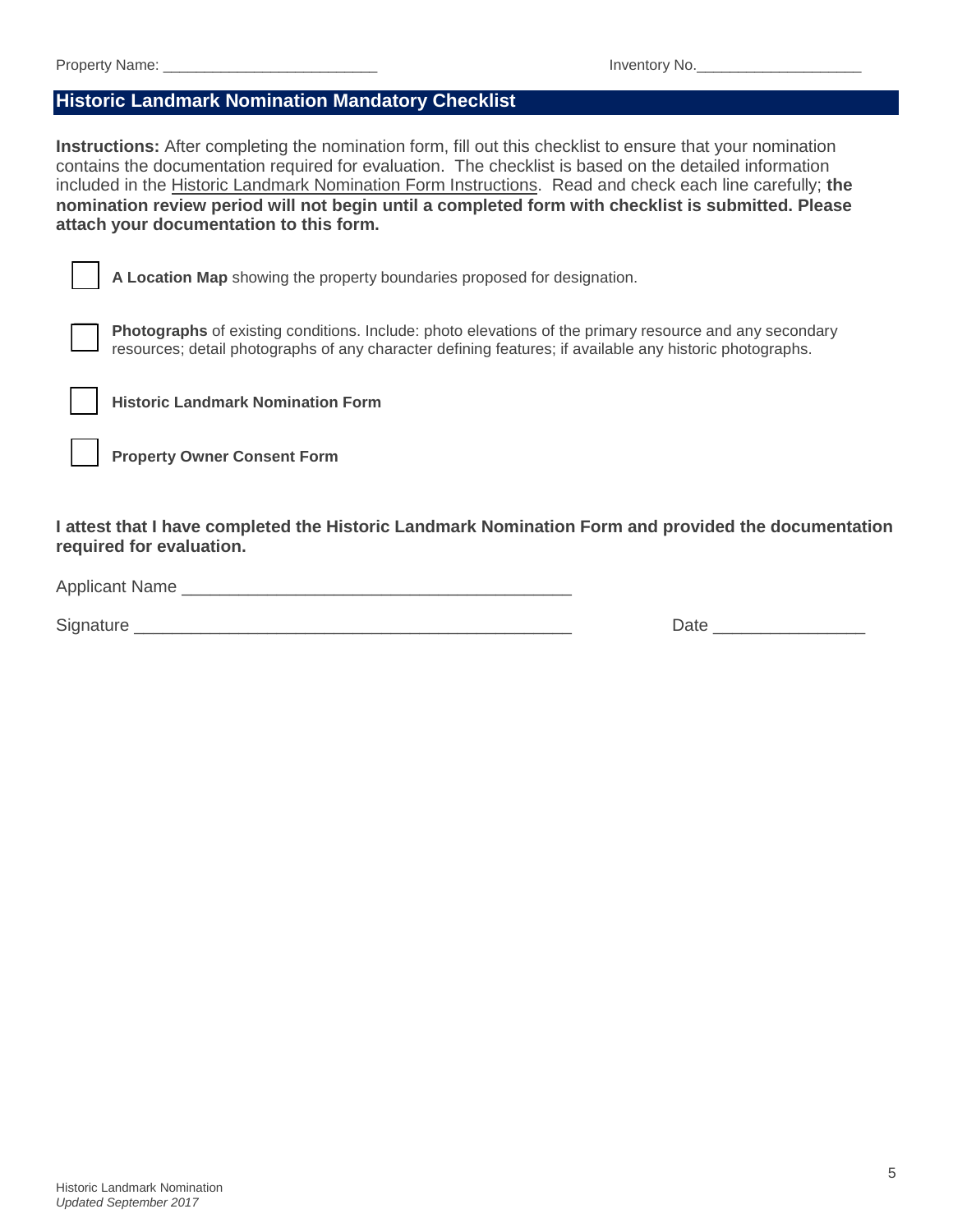#### **Historic Landmark Nomination Mandatory Checklist**

**Instructions:** After completing the nomination form, fill out this checklist to ensure that your nomination contains the documentation required for evaluation. The checklist is based on the detailed information included in the Historic Landmark Nomination Form Instructions. Read and check each line carefully; **the nomination review period will not begin until a completed form with checklist is submitted. Please attach your documentation to this form.** 

**A Location Map** showing the property boundaries proposed for designation.

**Photographs** of existing conditions. Include: photo elevations of the primary resource and any secondary resources; detail photographs of any character defining features; if available any historic photographs.



**Historic Landmark Nomination Form** 

**Property Owner Consent Form**

**I attest that I have completed the Historic Landmark Nomination Form and provided the documentation required for evaluation.**

Applicant Name \_\_\_\_\_\_\_\_\_\_\_\_\_\_\_\_\_\_\_\_\_\_\_\_\_\_\_\_\_\_\_\_\_\_\_\_\_\_\_\_\_

Signature **Example 20** and the set of the set of the set of the set of the set of the set of the set of the set of the set of the set of the set of the set of the set of the set of the set of the set of the set of the set